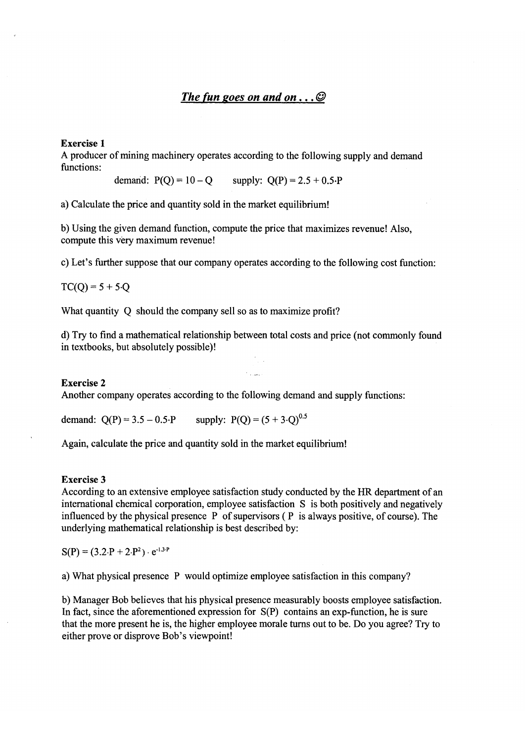# *The (un goes on and on* ... *@*

### Exercise 1

A producer of mining machinery operates according to the following supply and demand functions:

demand:  $P(O) = 10 - O$  supply:  $O(P) = 2.5 + 0.5 \cdot P$ 

a) Calculate the price and quantity sold in the market equilibrium!

b) Using the given demand function, compute the price that maximizes revenue! Also, compute this very maximum revenue!

c) Let's further suppose that our company operates according to the following cost function:

 $TC(Q) = 5 + 5.0$ 

What quantity Q should the company sell so as to maximize profit?

d) Try to find a mathematical relationship between total costs and price (not commonly found in textbooks, but absolutely possible)!

#### Exercise 2

Another company operates according to the following demand and supply functions:

demand:  $Q(P) = 3.5 - 0.5 \cdot P$  supply:  $P(Q) = (5 + 3 \cdot Q)^{0.5}$ 

Again, calculate the price and quantity sold in the market equilibrium!

#### Exercise 3

According to an extensive employee satisfaction study conducted by the HR department of an international chemical corporation, employee satisfaction S is both positively and negatively influenced by the physical presence  $P$  of supervisors ( $P$  is always positive, of course). The underlying mathematical relationship is best described by:

 $S(P) = (3.2 \cdot P + 2 \cdot P^2) \cdot e^{-1.3 \cdot P}$ 

a) What physical presence P would optimize employee satisfaction in this company?

b) Manager Bob believes that his physical presence measurably boosts employee satisfaction. In fact, since the aforementioned expression for S(P) contains an exp-function, he is sure that the more present he is, the higher employee morale tums out to be. Do you agree? Try to either prove or disprove Bob's viewpoint!